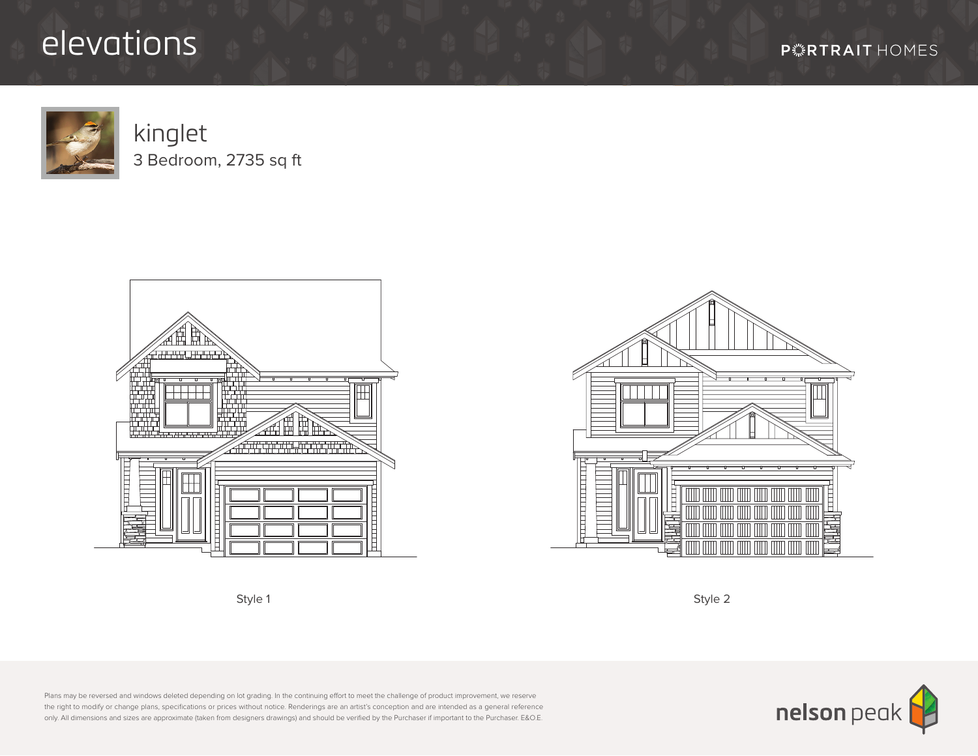## elevations



kinglet 3 Bedroom, 2735 sq ft







Plans may be reversed and windows deleted depending on lot grading. In the continuing effort to meet the challenge of product improvement, we reserve the right to modify or change plans, specifications or prices without notice. Renderings are an artist's conception and are intended as a general reference only. All dimensions and sizes are approximate (taken from designers drawings) and should be verified by the Purchaser if important to the Purchaser. E&O.E.